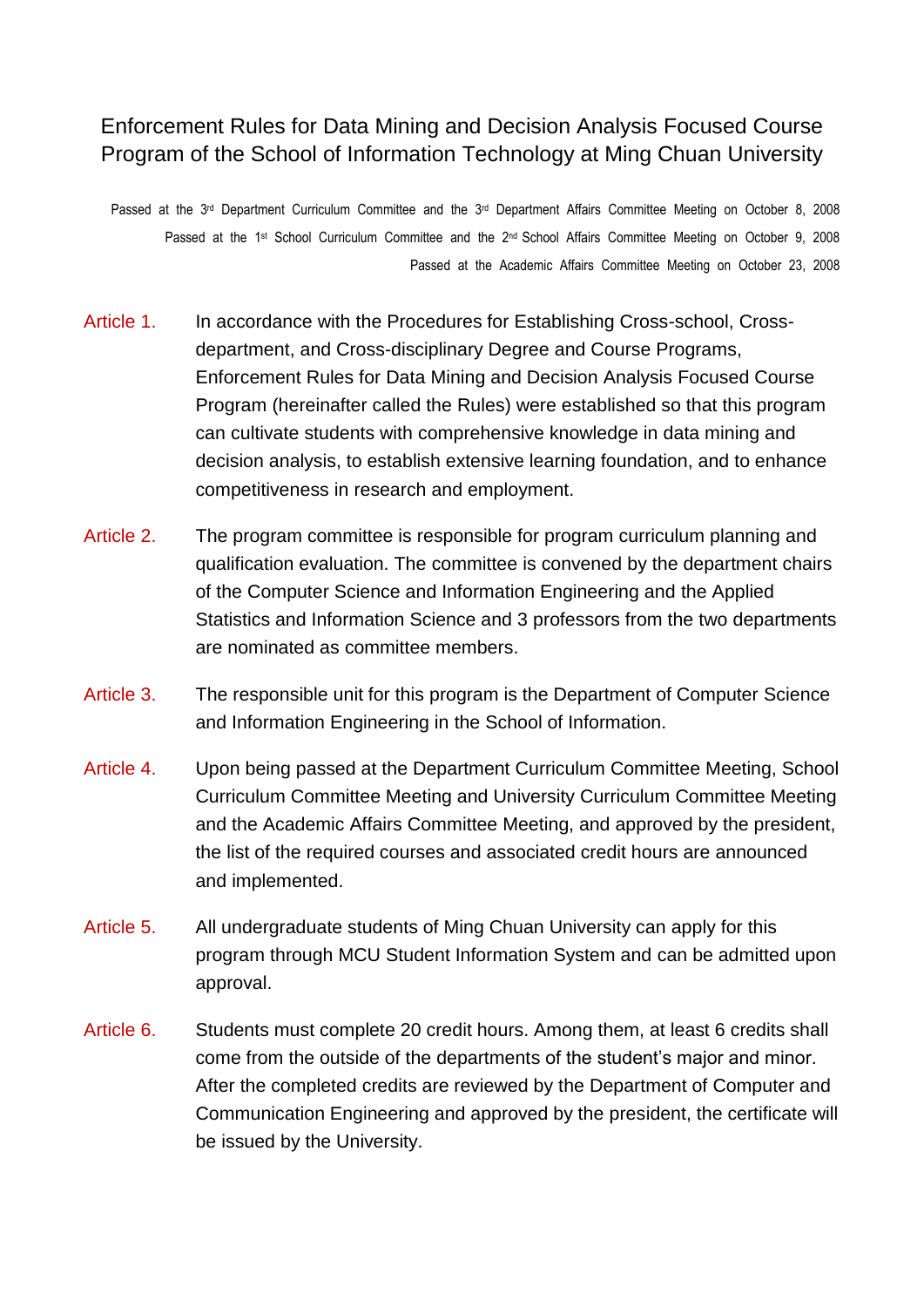## Enforcement Rules for Data Mining and Decision Analysis Focused Course Program of the School of Information Technology at Ming Chuan University

Passed at the 3<sup>rd</sup> Department Curriculum Committee and the 3<sup>rd</sup> Department Affairs Committee Meeting on October 8, 2008 Passed at the 1<sup>st</sup> School Curriculum Committee and the 2<sup>nd</sup> School Affairs Committee Meeting on October 9, 2008 Passed at the Academic Affairs Committee Meeting on October 23, 2008

- Article 1. In accordance with the Procedures for Establishing Cross-school, Crossdepartment, and Cross-disciplinary Degree and Course Programs, Enforcement Rules for Data Mining and Decision Analysis Focused Course Program (hereinafter called the Rules) were established so that this program can cultivate students with comprehensive knowledge in data mining and decision analysis, to establish extensive learning foundation, and to enhance competitiveness in research and employment.
- Article 2. The program committee is responsible for program curriculum planning and qualification evaluation. The committee is convened by the department chairs of the Computer Science and Information Engineering and the Applied Statistics and Information Science and 3 professors from the two departments are nominated as committee members.
- Article 3. The responsible unit for this program is the Department of Computer Science and Information Engineering in the School of Information.
- Article 4. Upon being passed at the Department Curriculum Committee Meeting, School Curriculum Committee Meeting and University Curriculum Committee Meeting and the Academic Affairs Committee Meeting, and approved by the president, the list of the required courses and associated credit hours are announced and implemented.
- Article 5. All undergraduate students of Ming Chuan University can apply for this program through MCU Student Information System and can be admitted upon approval.
- Article 6. Students must complete 20 credit hours. Among them, at least 6 credits shall come from the outside of the departments of the student's major and minor. After the completed credits are reviewed by the Department of Computer and Communication Engineering and approved by the president, the certificate will be issued by the University.